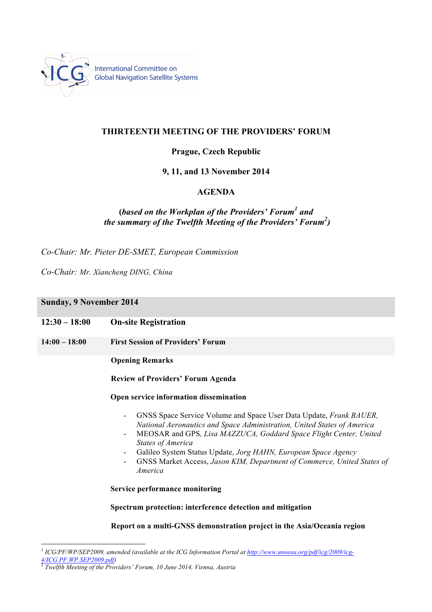

International Committee on **Global Navigation Satellite Systems** 

# **THIRTEENTH MEETING OF THE PROVIDERS' FORUM**

# **Prague, Czech Republic**

# **9, 11, and 13 November 2014**

## **AGENDA**

# **(***based on the Workplan of the Providers' Forum1 and the summary of the Twelfth Meeting of the Providers' Forum2 )*

*Co-Chair: Mr. Pieter DE-SMET, European Commission*

*Co-Chair: Mr. Xiancheng DING, China*

### **Sunday, 9 November 2014**

| $12:30 - 18:00$ | <b>On-site Registration</b> |
|-----------------|-----------------------------|
|-----------------|-----------------------------|

**14:00 – 18:00 First Session of Providers' Forum**

**Opening Remarks**

**Review of Providers' Forum Agenda**

### **Open service information dissemination**

- GNSS Space Service Volume and Space User Data Update, *Frank BAUER, National Aeronautics and Space Administration, United States of America*
- MEOSAR and GPS*, Lisa MAZZUCA, Goddard Space Flight Center, United States of America*
- Galileo System Status Update, *Jorg HAHN, European Space Agency*
- GNSS Market Access, *Jason KIM, Department of Commerce, United States of America*

**Service performance monitoring**

#### **Spectrum protection: interference detection and mitigation**

### **Report on a multi-GNSS demonstration project in the Asia/Oceania region**

<sup>&</sup>lt;sup>1</sup> *ICG/PF/WP/SEP2009, amended (available at the ICG Information Portal at <u>http://www.unoosa.org/pdf/icg/2009/icg-</u><br>
<sup>4/ICG/PF/WP/SEP2009.pdf)<br>
<sup>2</sup> Twelfth Masting of the Purities*</sup>

*<sup>4/</sup>ICG.PF.WP.SEP2009.pdf)* <sup>2</sup> *Twelfth Meeting of the Providers' Forum, 10 June 2014, Vienna, Austria*